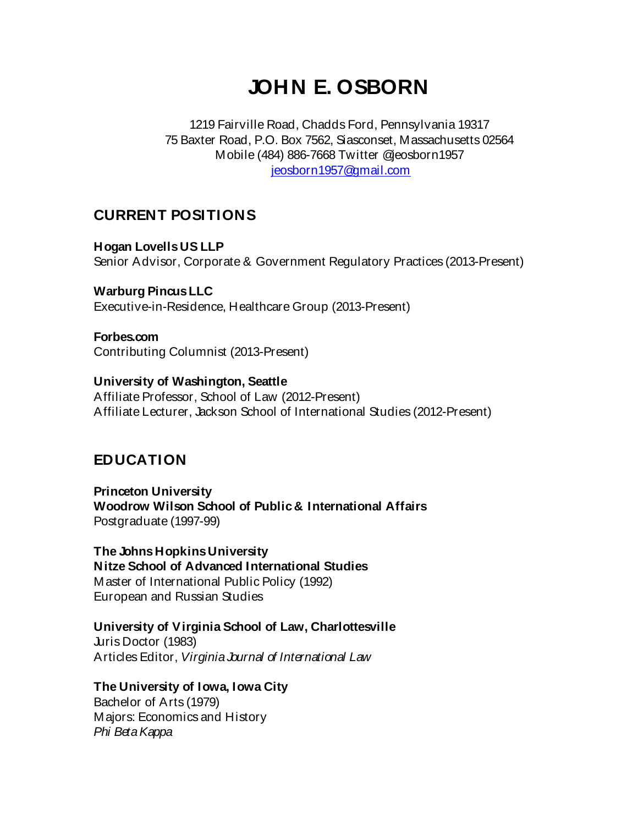# **JOHN E. OSBORN**

1219 Fairville Road, Chadds Ford, Pennsylvania 19317 75 Baxter Road, P.O. Box 7562, Siasconset, Massachusetts 02564 Mobile (484) 886-7668 Twitter @jeosborn1957 jeosborn1957@gmail.com

# **CURRENT POSITIONS**

**Hogan LovellsUS LLP** Senior Advisor, Corporate & Government Regulatory Practices (2013-Present)

**Warburg PincusLLC** Executive-in-Residence, Healthcare Group (2013-Present)

# **Forbes.com**

Contributing Columnist (2013-Present)

#### **University of Washington, Seattle**

Affiliate Professor, School of Law (2012-Present) Affiliate Lecturer, Jackson School of International Studies (2012-Present)

# **EDUCATION**

**Princeton University Woodrow Wilson School of Public & International Affairs** Postgraduate (1997-99)

**The Johns Hopkins University Nitze School of Advanced International Studies** Master of International Public Policy (1992) European and Russian Studies

**University of Virginia School of Law, Charlottesville** Juris Doctor (1983) Articles Editor, *Virginia Journal of International Law*

# **The University of Iowa, Iowa City**

Bachelor of Arts (1979) Majors: Economics and History *Phi Beta Kappa*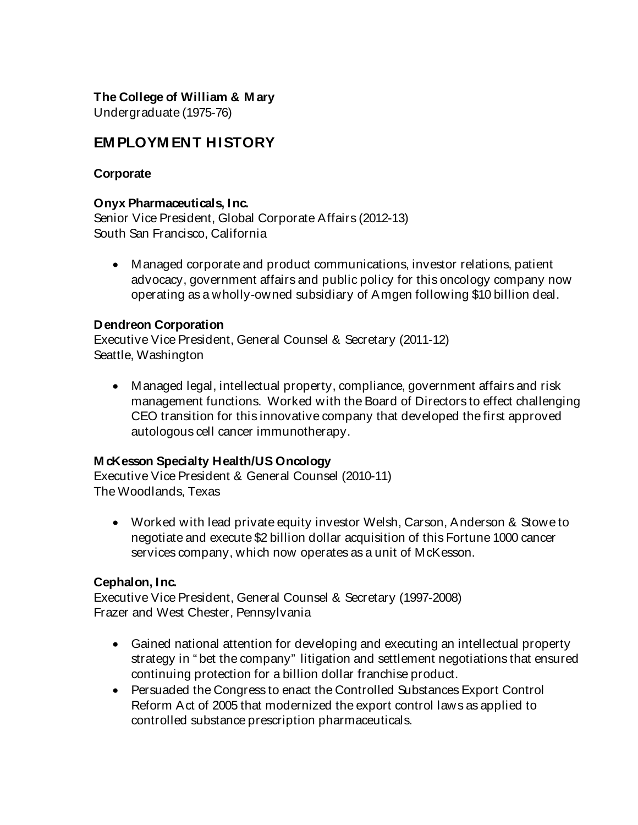# **The College of William & M ary**

Undergraduate (1975-76)

# **EM PLOYM ENT HISTORY**

### **Corporate**

### **Onyx Pharmaceuticals, Inc.**

Senior Vice President, Global Corporate Affairs (2012-13) South San Francisco, California

• Managed corporate and product communications, investor relations, patient advocacy, government affairs and public policy for this oncology company now operating as a wholly-owned subsidiary of Amgen following \$10 billion deal.

#### **Dendreon Corporation**

Executive Vice President, General Counsel & Secretary (2011-12) Seattle, Washington

• Managed legal, intellectual property, compliance, government affairs and risk management functions. Worked with the Board of Directors to effect challenging CEO transition for this innovative company that developed the first approved autologous cell cancer immunotherapy.

# **M cKesson Specialty Health/US Oncology**

Executive Vice President & General Counsel (2010-11) The Woodlands, Texas

• Worked with lead private equity investor Welsh, Carson, Anderson & Stowe to negotiate and execute \$2 billion dollar acquisition of this Fortune 1000 cancer services company, which now operates as a unit of McKesson.

# **Cephalon, Inc.**

Executive Vice President, General Counsel & Secretary (1997-2008) Frazer and West Chester, Pennsylvania

- Gained national attention for developing and executing an intellectual property strategy in " bet the company" litigation and settlement negotiations that ensured continuing protection for a billion dollar franchise product.
- Persuaded the Congress to enact the Controlled Substances Export Control Reform Act of 2005 that modernized the export control laws as applied to controlled substance prescription pharmaceuticals.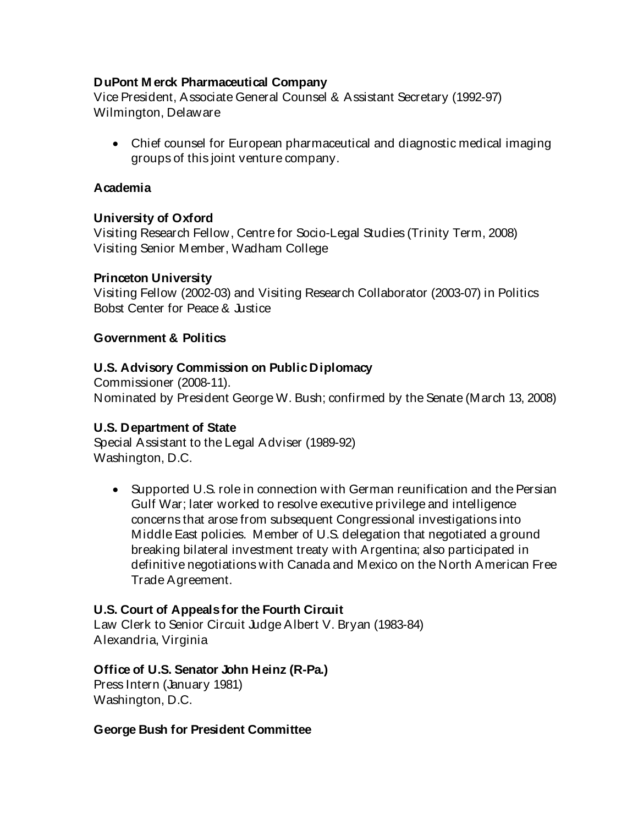#### **DuPont M erck Pharmaceutical Company**

Vice President, Associate General Counsel & Assistant Secretary (1992-97) Wilmington, Delaware

• Chief counsel for European pharmaceutical and diagnostic medical imaging groups of this joint venture company.

### **Academia**

#### **University of Oxford**

Visiting Research Fellow, Centre for Socio-Legal Studies (Trinity Term, 2008) Visiting Senior Member, Wadham College

#### **Princeton University**

Visiting Fellow (2002-03) and Visiting Research Collaborator (2003-07) in Politics Bobst Center for Peace & Justice

#### **Government & Politics**

#### **U.S. Advisory Commission on Public Diplomacy**

Commissioner (2008-11). Nominated by President George W. Bush; confirmed by the Senate (March 13, 2008)

#### **U.S. Department of State**

Special Assistant to the Legal Adviser (1989-92) Washington, D.C.

• Supported U.S. role in connection with German reunification and the Persian Gulf War; later worked to resolve executive privilege and intelligence concerns that arose from subsequent Congressional investigations into Middle East policies. Member of U.S. delegation that negotiated a ground breaking bilateral investment treaty with Argentina; also participated in definitive negotiations with Canada and Mexico on the North American Free Trade Agreement.

# **U.S. Court of Appeals for the Fourth Circuit**

Law Clerk to Senior Circuit Judge Albert V. Bryan (1983-84) Alexandria, Virginia

# **Office of U.S. Senator John Heinz (R-Pa.)**

Press Intern (January 1981) Washington, D.C.

#### **George Bush for President Committee**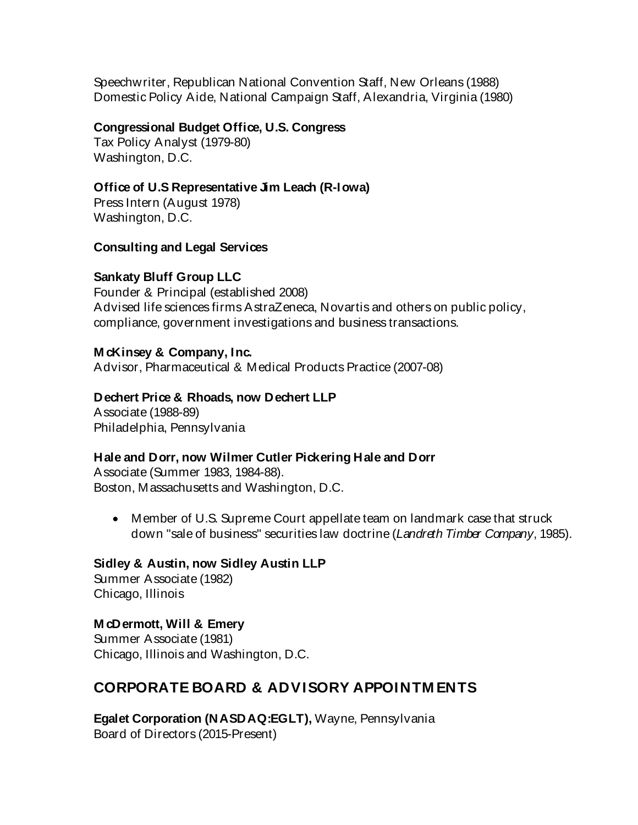Speechwriter, Republican National Convention Staff, New Orleans (1988) Domestic Policy Aide, National Campaign Staff, Alexandria, Virginia (1980)

#### **Congressional Budget Office, U.S. Congress**

Tax Policy Analyst (1979-80) Washington, D.C.

### **Office of U.S Representative Jim Leach (R-Iowa)**

Press Intern (August 1978) Washington, D.C.

#### **Consulting and Legal Services**

#### **Sankaty Bluff Group LLC**

Founder & Principal (established 2008) Advised life sciences firms AstraZeneca, Novartis and others on public policy, compliance, government investigations and business transactions.

#### **M cKinsey & Company, Inc.**

Advisor, Pharmaceutical & Medical Products Practice (2007-08)

#### **Dechert Price & Rhoads, now Dechert LLP**

Associate (1988-89) Philadelphia, Pennsylvania

#### **Hale and Dorr, now Wilmer Cutler Pickering Hale and Dorr**

Associate (Summer 1983, 1984-88). Boston, Massachusetts and Washington, D.C.

• Member of U.S. Supreme Court appellate team on landmark case that struck down "sale of business" securities law doctrine (*Landreth Timber Company*, 1985).

# **Sidley & Austin, now Sidley Austin LLP**

Summer Associate (1982) Chicago, Illinois

# **M cDermott, Will & Emery**

Summer Associate (1981) Chicago, Illinois and Washington, D.C.

# **CORPORATE BOARD & ADVISORY APPOINTM ENTS**

**Egalet Corporation (NASDAQ:EGLT),** Wayne, Pennsylvania Board of Directors (2015-Present)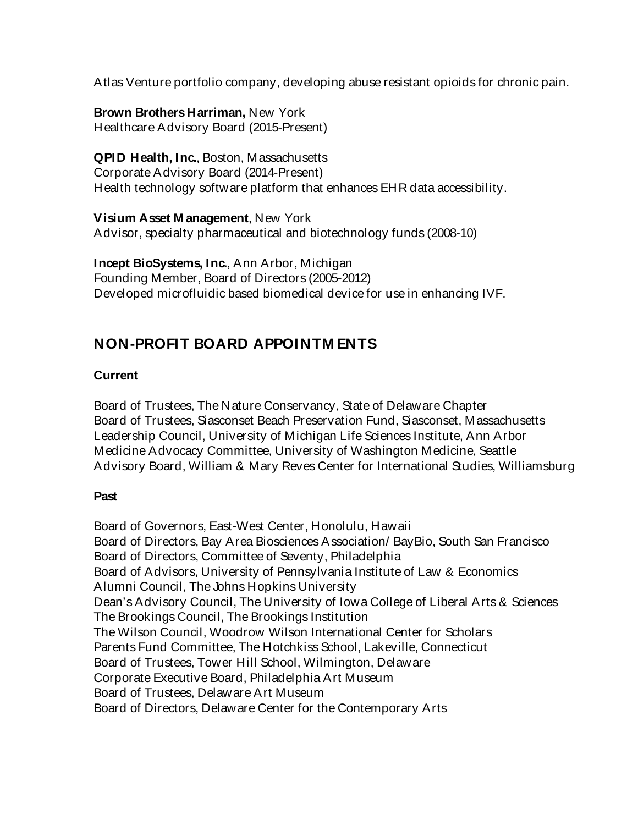Atlas Venture portfolio company, developing abuse resistant opioids for chronic pain.

**Brown Brothers Harriman,** New York Healthcare Advisory Board (2015-Present)

**QPID Health, Inc.**, Boston, Massachusetts Corporate Advisory Board (2014-Present) Health technology software platform that enhances EHR data accessibility.

**Visium Asset M anagement**, New York Advisor, specialty pharmaceutical and biotechnology funds (2008-10)

**Incept BioSystems, Inc.**, Ann Arbor, Michigan Founding Member, Board of Directors (2005-2012) Developed microfluidic based biomedical device for use in enhancing IVF.

# **NON-PROFIT BOARD APPOINTM ENTS**

# **Current**

Board of Trustees, The Nature Conservancy, State of Delaware Chapter Board of Trustees, Siasconset Beach Preservation Fund, Siasconset, Massachusetts Leadership Council, University of Michigan Life Sciences Institute, Ann Arbor Medicine Advocacy Committee, University of Washington Medicine, Seattle Advisory Board, William & Mary Reves Center for International Studies, Williamsburg

# **Past**

Board of Governors, East-West Center, Honolulu, Hawaii Board of Directors, Bay Area Biosciences Association/ BayBio, South San Francisco Board of Directors, Committee of Seventy, Philadelphia Board of Advisors, University of Pennsylvania Institute of Law & Economics Alumni Council, The Johns Hopkins University Dean's Advisory Council, The University of Iowa College of Liberal Arts & Sciences The Brookings Council, The Brookings Institution The Wilson Council, Woodrow Wilson International Center for Scholars Parents Fund Committee, The Hotchkiss School, Lakeville, Connecticut Board of Trustees, Tower Hill School, Wilmington, Delaware Corporate Executive Board, Philadelphia Art Museum Board of Trustees, Delaware Art Museum Board of Directors, Delaware Center for the Contemporary Arts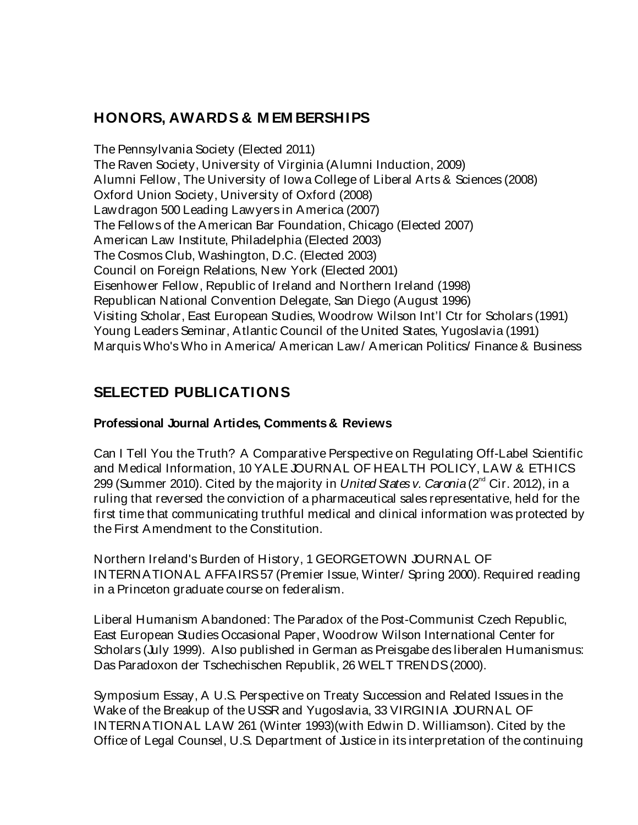# **HONORS, AWARDS & M EM BERSHIPS**

The Pennsylvania Society (Elected 2011) The Raven Society, University of Virginia (Alumni Induction, 2009) Alumni Fellow, The University of Iowa College of Liberal Arts & Sciences (2008) Oxford Union Society, University of Oxford (2008) Lawdragon 500 Leading Lawyers in America (2007) The Fellows of the American Bar Foundation, Chicago (Elected 2007) American Law Institute, Philadelphia (Elected 2003) The Cosmos Club, Washington, D.C. (Elected 2003) Council on Foreign Relations, New York (Elected 2001) Eisenhower Fellow, Republic of Ireland and Northern Ireland (1998) Republican National Convention Delegate, San Diego (August 1996) Visiting Scholar, East European Studies, Woodrow Wilson Int'l Ctr for Scholars (1991) Young Leaders Seminar, Atlantic Council of the United States, Yugoslavia (1991) Marquis Who's Who in America/ American Law/ American Politics/ Finance & Business

# **SELECTED PUBLICATIONS**

# **Professional Journal Articles, Comments & Reviews**

Can I Tell You the Truth? A Comparative Perspective on Regulating Off-Label Scientific and Medical Information, 10 YALE JOURNAL OF HEALTH POLICY, LAW & ETHICS 299 (Summer 2010). Cited by the majority in *United States v. Caronia* (2<sup>nd</sup> Cir. 2012), in a ruling that reversed the conviction of a pharmaceutical sales representative, held for the first time that communicating truthful medical and clinical information was protected by the First Amendment to the Constitution.

Northern Ireland's Burden of History, 1 GEORGETOWN JOURNAL OF INTERNATIONAL AFFAIRS 57 (Premier Issue, Winter/ Spring 2000). Required reading in a Princeton graduate course on federalism.

Liberal Humanism Abandoned: The Paradox of the Post-Communist Czech Republic, East European Studies Occasional Paper, Woodrow Wilson International Center for Scholars (July 1999). Also published in German as Preisgabe des liberalen Humanismus: Das Paradoxon der Tschechischen Republik, 26 WELT TRENDS (2000).

Symposium Essay, A U.S. Perspective on Treaty Succession and Related Issues in the Wake of the Breakup of the USSR and Yugoslavia, 33 VIRGINIA JOURNAL OF INTERNATIONAL LAW 261 (Winter 1993)(with Edwin D. Williamson). Cited by the Office of Legal Counsel, U.S. Department of Justice in its interpretation of the continuing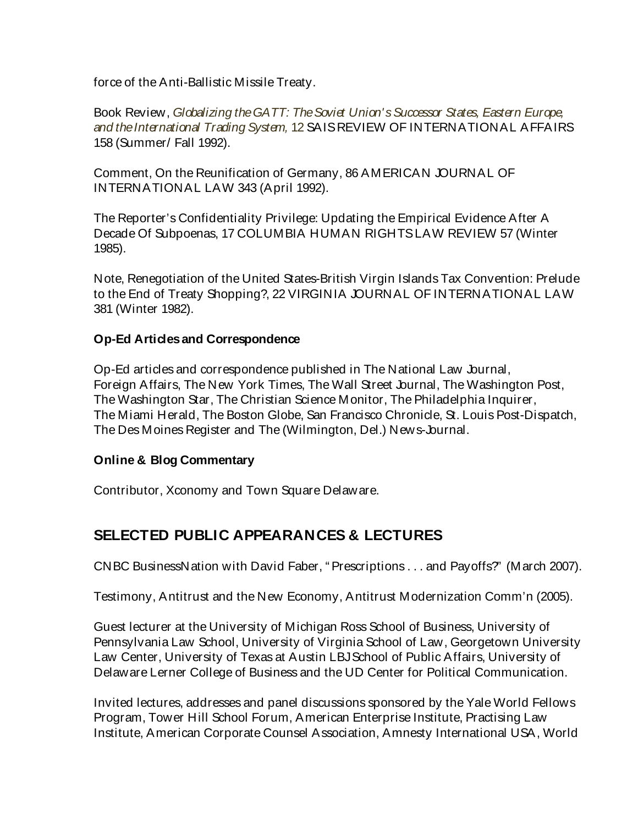force of the Anti-Ballistic Missile Treaty.

Book Review, *Globalizing the GATT: The Soviet Union' s Successor States, Eastern Europe, and the International Trading System,* 12 SAISREVIEW OF INTERNATIONAL AFFAIRS 158 (Summer/ Fall 1992).

Comment, On the Reunification of Germany, 86 AMERICAN JOURNAL OF INTERNATIONAL LAW 343 (April 1992).

The Reporter's Confidentiality Privilege: Updating the Empirical Evidence After A Decade Of Subpoenas, 17 COLUMBIA HUMAN RIGHTS LAW REVIEW 57 (Winter 1985).

Note, Renegotiation of the United States-British Virgin Islands Tax Convention: Prelude to the End of Treaty Shopping?, 22 VIRGINIA JOURNAL OF INTERNATIONAL LAW 381 (Winter 1982).

# **Op-Ed Articles and Correspondence**

Op-Ed articles and correspondence published in The National Law Journal, Foreign Affairs, The New York Times, The Wall Street Journal, The Washington Post, The Washington Star, The Christian Science Monitor, The Philadelphia Inquirer, The Miami Herald, The Boston Globe, San Francisco Chronicle, St. Louis Post-Dispatch, The Des Moines Register and The (Wilmington, Del.) News-Journal.

# **Online & Blog Commentary**

Contributor, Xconomy and Town Square Delaware.

# **SELECTED PUBLIC APPEARANCES & LECTURES**

CNBC BusinessNation with David Faber, " Prescriptions . . . and Payoffs?" (March 2007).

Testimony, Antitrust and the New Economy, Antitrust Modernization Comm'n (2005).

Guest lecturer at the University of Michigan Ross School of Business, University of Pennsylvania Law School, University of Virginia School of Law, Georgetown University Law Center, University of Texas at Austin LBJ School of Public Affairs, University of Delaware Lerner College of Business and the UD Center for Political Communication.

Invited lectures, addresses and panel discussions sponsored by the Yale World Fellows Program, Tower Hill School Forum, American Enterprise Institute, Practising Law Institute, American Corporate Counsel Association, Amnesty International USA, World